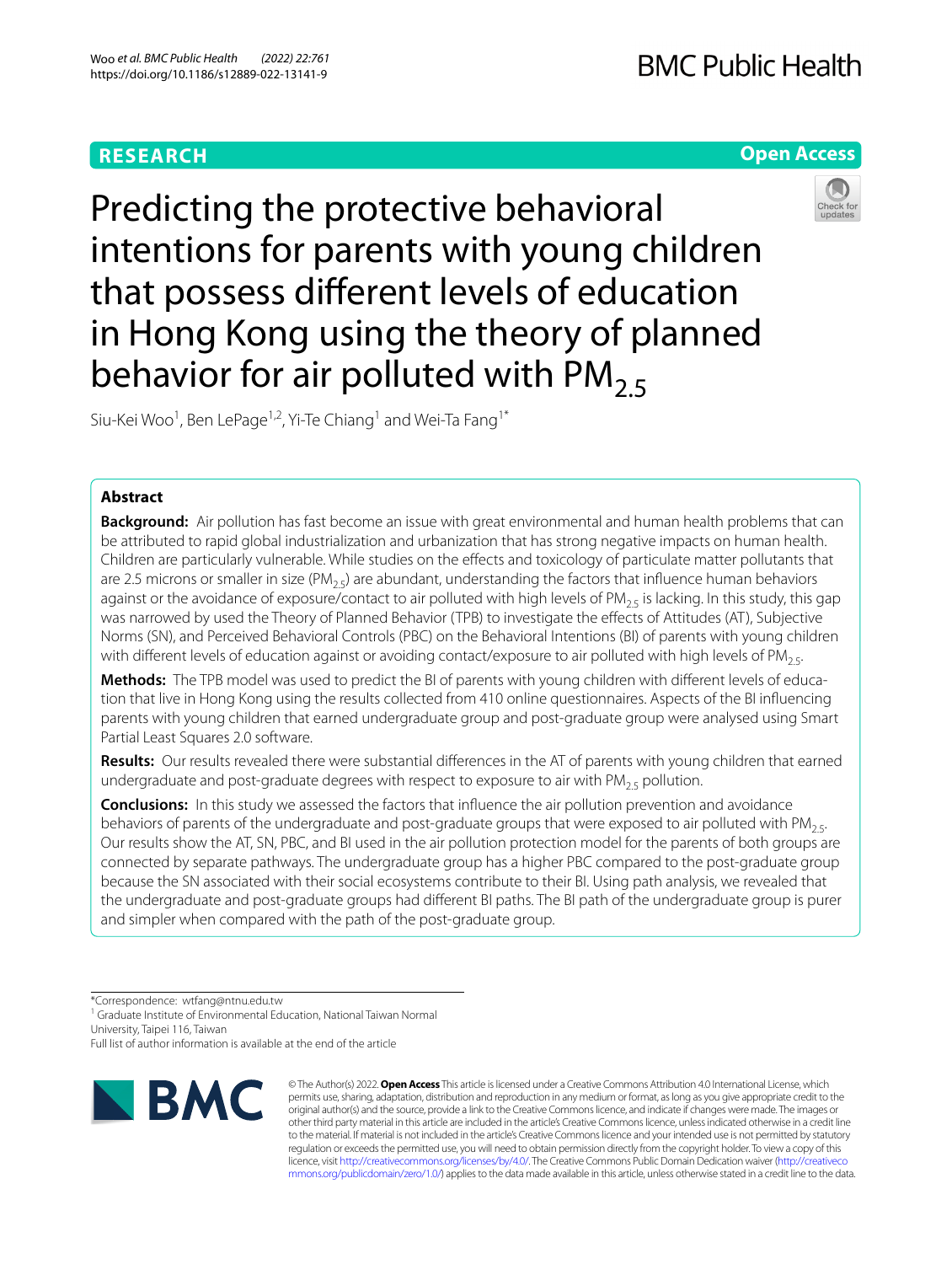# **RESEARCH**

# **BMC Public Health**

# **Open Access**



Predicting the protective behavioral intentions for parents with young children that possess diferent levels of education in Hong Kong using the theory of planned behavior for air polluted with  $PM_{2.5}$ 

Siu-Kei Woo<sup>1</sup>, Ben LePage<sup>1,2</sup>, Yi-Te Chiang<sup>1</sup> and Wei-Ta Fang<sup>1\*</sup>

## **Abstract**

**Background:** Air pollution has fast become an issue with great environmental and human health problems that can be attributed to rapid global industrialization and urbanization that has strong negative impacts on human health. Children are particularly vulnerable. While studies on the efects and toxicology of particulate matter pollutants that are 2.5 microns or smaller in size (PM<sub>25</sub>) are abundant, understanding the factors that influence human behaviors against or the avoidance of exposure/contact to air polluted with high levels of PM<sub>2.5</sub> is lacking. In this study, this gap was narrowed by used the Theory of Planned Behavior (TPB) to investigate the effects of Attitudes (AT), Subjective Norms (SN), and Perceived Behavioral Controls (PBC) on the Behavioral Intentions (BI) of parents with young children with different levels of education against or avoiding contact/exposure to air polluted with high levels of PM<sub>25</sub>.

Methods: The TPB model was used to predict the BI of parents with young children with different levels of education that live in Hong Kong using the results collected from 410 online questionnaires. Aspects of the BI infuencing parents with young children that earned undergraduate group and post-graduate group were analysed using Smart Partial Least Squares 2.0 software.

**Results:** Our results revealed there were substantial diferences in the AT of parents with young children that earned undergraduate and post-graduate degrees with respect to exposure to air with  $PM_{2.5}$  pollution.

**Conclusions:** In this study we assessed the factors that infuence the air pollution prevention and avoidance behaviors of parents of the undergraduate and post-graduate groups that were exposed to air polluted with PM<sub>25</sub>. Our results show the AT, SN, PBC, and BI used in the air pollution protection model for the parents of both groups are connected by separate pathways. The undergraduate group has a higher PBC compared to the post-graduate group because the SN associated with their social ecosystems contribute to their BI. Using path analysis, we revealed that the undergraduate and post-graduate groups had diferent BI paths. The BI path of the undergraduate group is purer and simpler when compared with the path of the post-graduate group.

<sup>1</sup> Graduate Institute of Environmental Education, National Taiwan Normal University, Taipei 116, Taiwan

Full list of author information is available at the end of the article



© The Author(s) 2022. **Open Access** This article is licensed under a Creative Commons Attribution 4.0 International License, which permits use, sharing, adaptation, distribution and reproduction in any medium or format, as long as you give appropriate credit to the original author(s) and the source, provide a link to the Creative Commons licence, and indicate if changes were made. The images or other third party material in this article are included in the article's Creative Commons licence, unless indicated otherwise in a credit line to the material. If material is not included in the article's Creative Commons licence and your intended use is not permitted by statutory regulation or exceeds the permitted use, you will need to obtain permission directly from the copyright holder. To view a copy of this licence, visit [http://creativecommons.org/licenses/by/4.0/.](http://creativecommons.org/licenses/by/4.0/) The Creative Commons Public Domain Dedication waiver ([http://creativeco](http://creativecommons.org/publicdomain/zero/1.0/) [mmons.org/publicdomain/zero/1.0/](http://creativecommons.org/publicdomain/zero/1.0/)) applies to the data made available in this article, unless otherwise stated in a credit line to the data.

<sup>\*</sup>Correspondence: wtfang@ntnu.edu.tw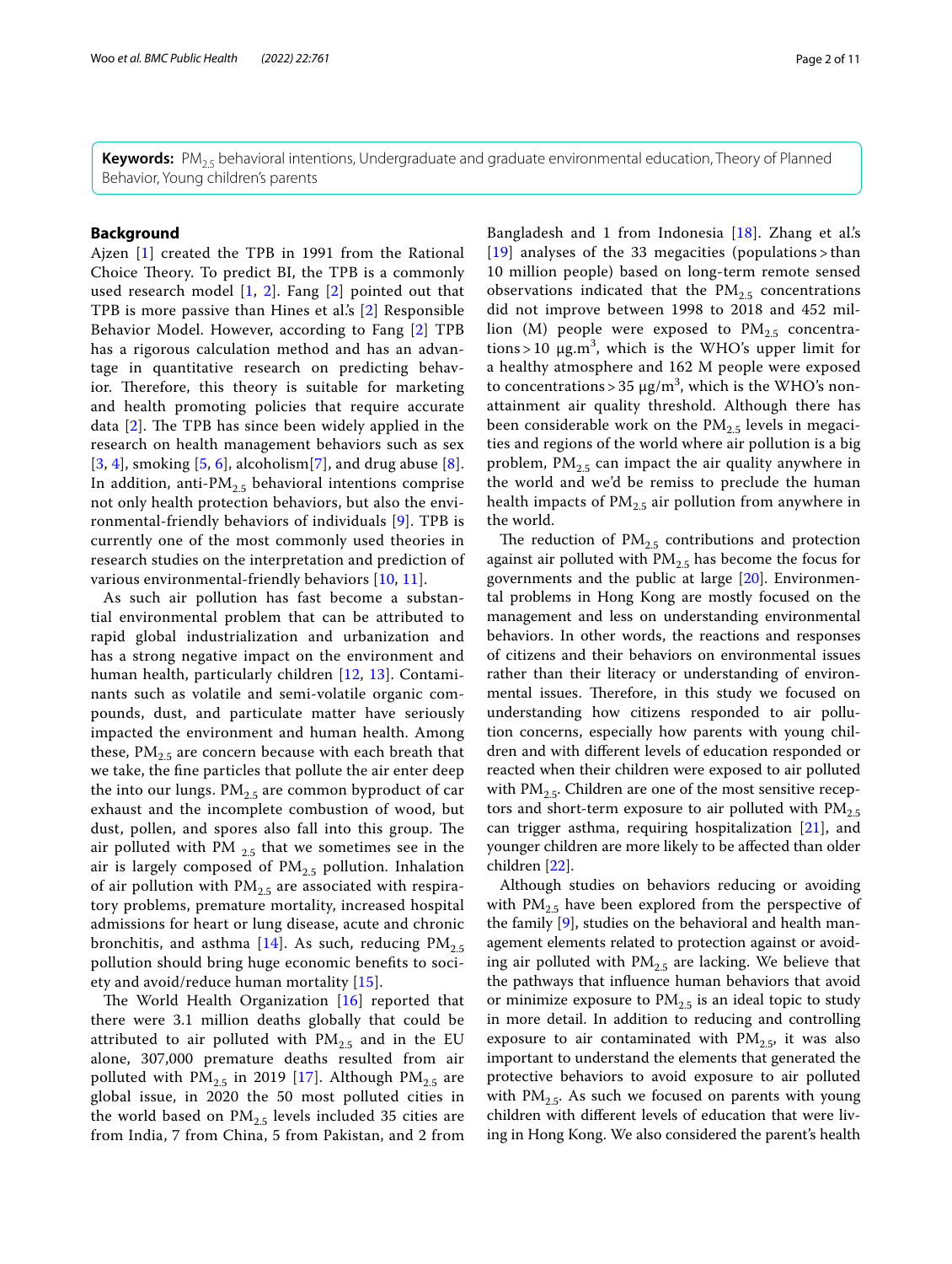**Keywords:** PM2.5 behavioral intentions, Undergraduate and graduate environmental education, Theory of Planned Behavior, Young children's parents

## **Background**

Ajzen [\[1](#page-9-0)] created the TPB in 1991 from the Rational Choice Theory. To predict BI, the TPB is a commonly used research model  $[1, 2]$  $[1, 2]$  $[1, 2]$  $[1, 2]$ . Fang  $[2]$  $[2]$  $[2]$  pointed out that TPB is more passive than Hines et al.'s [[2\]](#page-9-1) Responsible Behavior Model. However, according to Fang [[2](#page-9-1)] TPB has a rigorous calculation method and has an advantage in quantitative research on predicting behavior. Therefore, this theory is suitable for marketing and health promoting policies that require accurate data  $[2]$  $[2]$ . The TPB has since been widely applied in the research on health management behaviors such as sex  $[3, 4]$  $[3, 4]$  $[3, 4]$  $[3, 4]$ , smoking  $[5, 6]$  $[5, 6]$  $[5, 6]$  $[5, 6]$ , alcoholism $[7]$  $[7]$ , and drug abuse  $[8]$  $[8]$ . In addition, anti- $PM_{2,5}$  behavioral intentions comprise not only health protection behaviors, but also the environmental-friendly behaviors of individuals [\[9](#page-10-4)]. TPB is currently one of the most commonly used theories in research studies on the interpretation and prediction of various environmental-friendly behaviors [[10](#page-10-5), [11\]](#page-10-6).

As such air pollution has fast become a substantial environmental problem that can be attributed to rapid global industrialization and urbanization and has a strong negative impact on the environment and human health, particularly children [\[12](#page-10-7), [13](#page-10-8)]. Contaminants such as volatile and semi-volatile organic compounds, dust, and particulate matter have seriously impacted the environment and human health. Among these,  $PM_{2.5}$  are concern because with each breath that we take, the fne particles that pollute the air enter deep the into our lungs.  $PM_{2.5}$  are common byproduct of car exhaust and the incomplete combustion of wood, but dust, pollen, and spores also fall into this group. The air polluted with PM  $_{2.5}$  that we sometimes see in the air is largely composed of  $PM_{2.5}$  pollution. Inhalation of air pollution with  $PM_{2.5}$  are associated with respiratory problems, premature mortality, increased hospital admissions for heart or lung disease, acute and chronic bronchitis, and asthma [\[14](#page-10-9)]. As such, reducing  $PM_{2.5}$ pollution should bring huge economic benefts to society and avoid/reduce human mortality [[15](#page-10-10)].

The World Health Organization  $[16]$  $[16]$  $[16]$  reported that there were 3.1 million deaths globally that could be attributed to air polluted with  $PM_{2.5}$  and in the EU alone, 307,000 premature deaths resulted from air polluted with  $PM_{2.5}$  in 2019 [\[17](#page-10-12)]. Although  $PM_{2.5}$  are global issue, in 2020 the 50 most polluted cities in the world based on  $PM_{2.5}$  levels included 35 cities are from India, 7 from China, 5 from Pakistan, and 2 from

Bangladesh and 1 from Indonesia [[18](#page-10-13)]. Zhang et al.'s [[19](#page-10-14)] analyses of the 33 megacities (populations > than 10 million people) based on long-term remote sensed observations indicated that the  $PM_{2.5}$  concentrations did not improve between 1998 to 2018 and 452 million (M) people were exposed to  $PM_{2.5}$  concentrations > 10  $\mu$ g.m<sup>3</sup>, which is the WHO's upper limit for a healthy atmosphere and 162 M people were exposed to concentrations > 35  $\mu$ g/m<sup>3</sup>, which is the WHO's nonattainment air quality threshold. Although there has been considerable work on the  $PM_{2.5}$  levels in megacities and regions of the world where air pollution is a big problem,  $PM_{2.5}$  can impact the air quality anywhere in the world and we'd be remiss to preclude the human health impacts of  $PM_{2.5}$  air pollution from anywhere in the world.

The reduction of  $PM_{2.5}$  contributions and protection against air polluted with  $PM_{2.5}$  has become the focus for governments and the public at large [\[20](#page-10-15)]. Environmental problems in Hong Kong are mostly focused on the management and less on understanding environmental behaviors. In other words, the reactions and responses of citizens and their behaviors on environmental issues rather than their literacy or understanding of environmental issues. Therefore, in this study we focused on understanding how citizens responded to air pollution concerns, especially how parents with young children and with diferent levels of education responded or reacted when their children were exposed to air polluted with  $PM_{2.5}$ . Children are one of the most sensitive receptors and short-term exposure to air polluted with  $PM_{2.5}$ can trigger asthma, requiring hospitalization [[21](#page-10-16)], and younger children are more likely to be afected than older children [\[22\]](#page-10-17).

Although studies on behaviors reducing or avoiding with  $PM_{2.5}$  have been explored from the perspective of the family [[9\]](#page-10-4), studies on the behavioral and health management elements related to protection against or avoiding air polluted with  $PM_{2.5}$  are lacking. We believe that the pathways that infuence human behaviors that avoid or minimize exposure to  $PM_{2.5}$  is an ideal topic to study in more detail. In addition to reducing and controlling exposure to air contaminated with  $PM_{2.5}$ , it was also important to understand the elements that generated the protective behaviors to avoid exposure to air polluted with  $PM<sub>2.5</sub>$ . As such we focused on parents with young children with diferent levels of education that were living in Hong Kong. We also considered the parent's health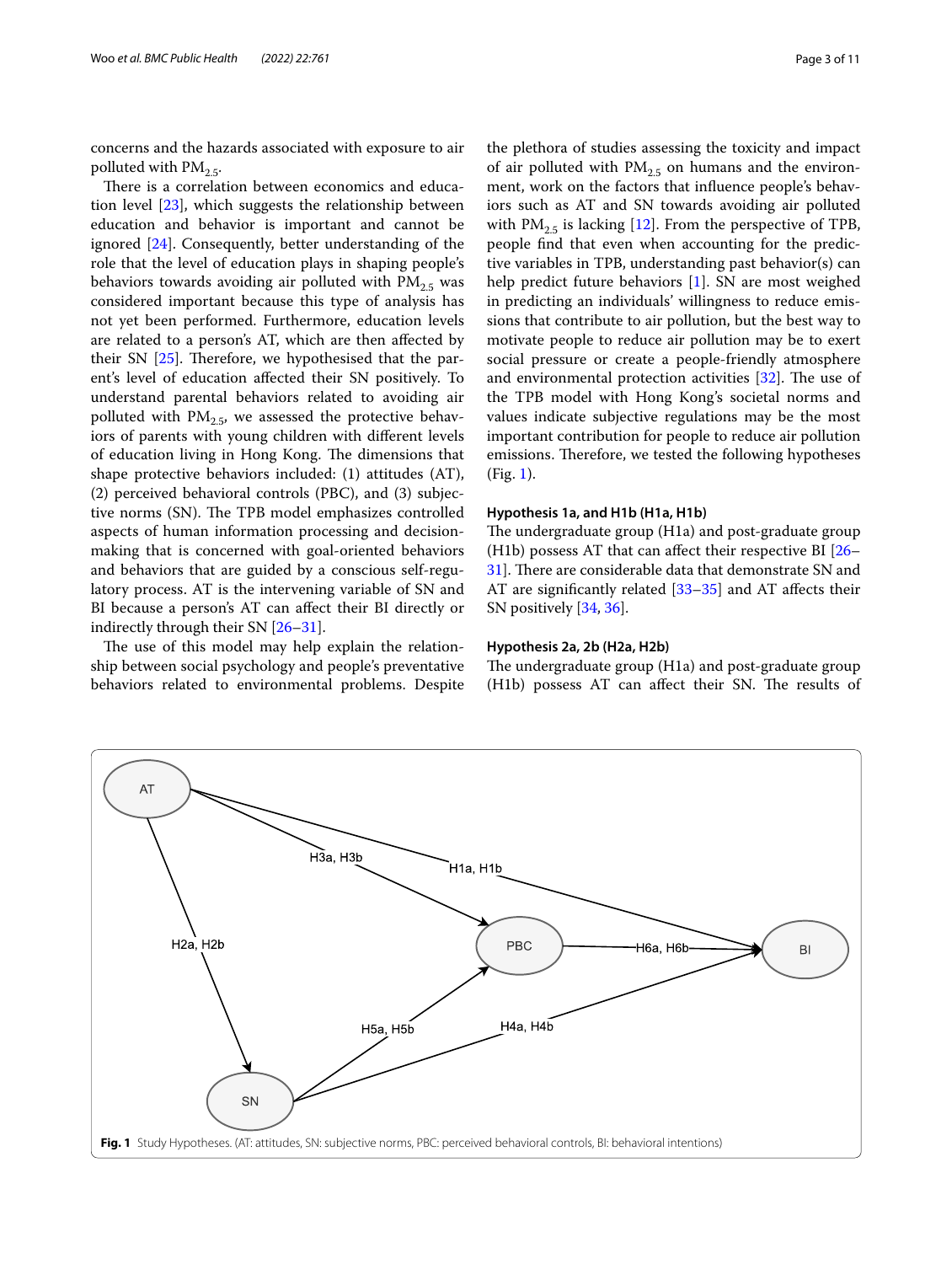concerns and the hazards associated with exposure to air polluted with  $PM_{2.5}$ .

There is a correlation between economics and education level [\[23](#page-10-18)], which suggests the relationship between education and behavior is important and cannot be ignored [[24\]](#page-10-19). Consequently, better understanding of the role that the level of education plays in shaping people's behaviors towards avoiding air polluted with  $PM_{2.5}$  was considered important because this type of analysis has not yet been performed. Furthermore, education levels are related to a person's AT, which are then afected by their SN  $[25]$  $[25]$ . Therefore, we hypothesised that the parent's level of education afected their SN positively. To understand parental behaviors related to avoiding air polluted with  $PM<sub>2.5</sub>$ , we assessed the protective behaviors of parents with young children with diferent levels of education living in Hong Kong. The dimensions that shape protective behaviors included: (1) attitudes (AT), (2) perceived behavioral controls (PBC), and (3) subjective norms (SN). The TPB model emphasizes controlled aspects of human information processing and decisionmaking that is concerned with goal-oriented behaviors and behaviors that are guided by a conscious self-regulatory process. AT is the intervening variable of SN and BI because a person's AT can afect their BI directly or indirectly through their SN [[26–](#page-10-21)[31\]](#page-10-22).

The use of this model may help explain the relationship between social psychology and people's preventative behaviors related to environmental problems. Despite

the plethora of studies assessing the toxicity and impact of air polluted with  $PM_{2,5}$  on humans and the environment, work on the factors that infuence people's behaviors such as AT and SN towards avoiding air polluted with  $PM_{2.5}$  is lacking [\[12](#page-10-7)]. From the perspective of TPB, people fnd that even when accounting for the predictive variables in TPB, understanding past behavior(s) can help predict future behaviors [[1\]](#page-9-0). SN are most weighed in predicting an individuals' willingness to reduce emissions that contribute to air pollution, but the best way to motivate people to reduce air pollution may be to exert social pressure or create a people-friendly atmosphere and environmental protection activities  $[32]$  $[32]$ . The use of the TPB model with Hong Kong's societal norms and values indicate subjective regulations may be the most important contribution for people to reduce air pollution emissions. Therefore, we tested the following hypotheses (Fig. [1\)](#page-2-0).

#### **Hypothesis 1a, and H1b (H1a, H1b)**

The undergraduate group (H1a) and post-graduate group (H1b) possess AT that can affect their respective BI  $[26-$ [31\]](#page-10-22). There are considerable data that demonstrate SN and AT are signifcantly related [\[33](#page-10-24)[–35\]](#page-10-25) and AT afects their SN positively [[34,](#page-10-26) [36](#page-10-27)].

## **Hypothesis 2a, 2b (H2a, H2b)**

The undergraduate group (H1a) and post-graduate group (H1b) possess AT can affect their SN. The results of

<span id="page-2-0"></span>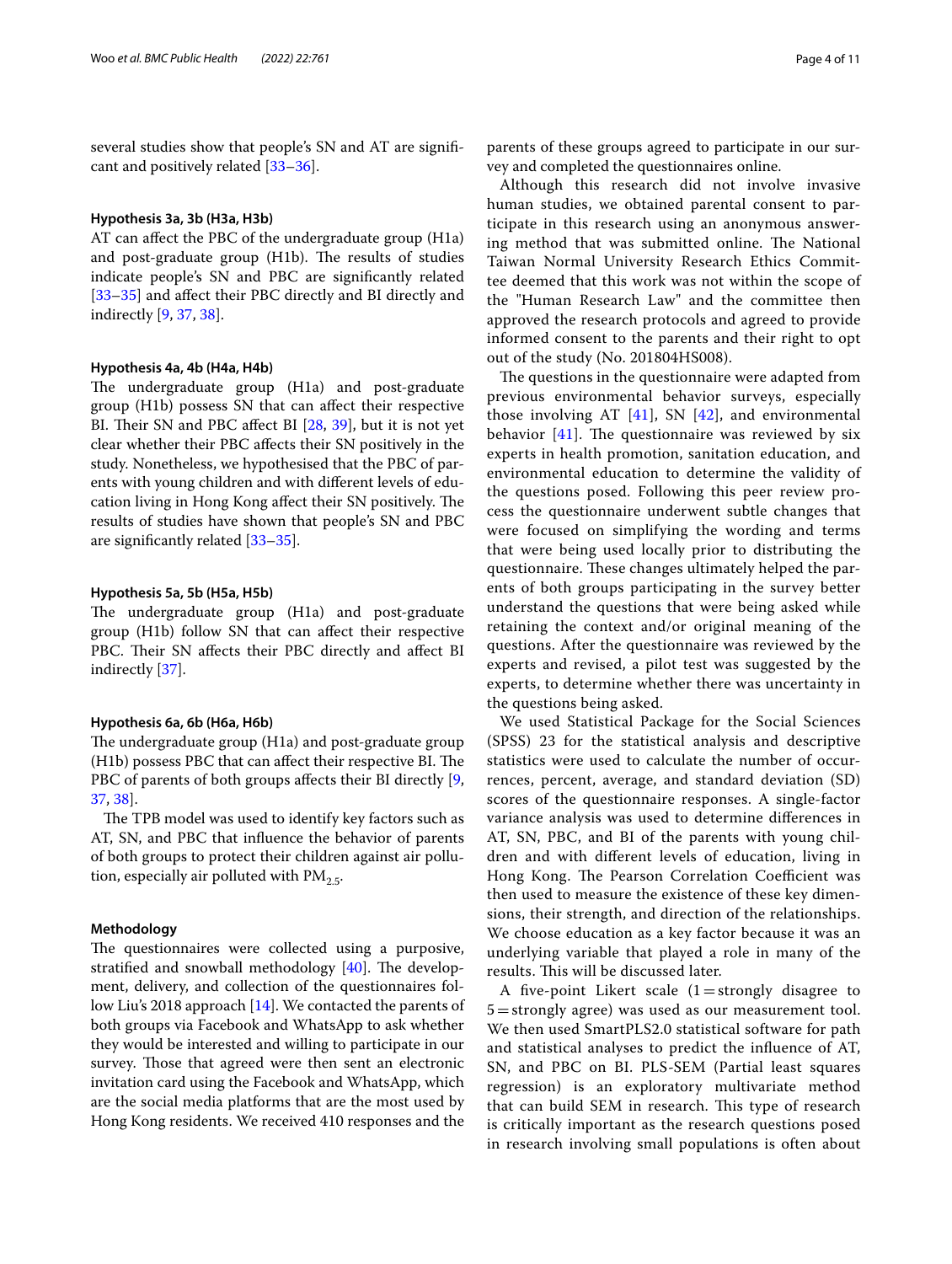several studies show that people's SN and AT are signifcant and positively related [[33–](#page-10-24)[36\]](#page-10-27).

#### **Hypothesis 3a, 3b (H3a, H3b)**

AT can afect the PBC of the undergraduate group (H1a) and post-graduate group (H1b). The results of studies indicate people's SN and PBC are signifcantly related [[33–](#page-10-24)[35](#page-10-25)] and afect their PBC directly and BI directly and indirectly [\[9](#page-10-4), [37](#page-10-28), [38\]](#page-10-29).

## **Hypothesis 4a, 4b (H4a, H4b)**

The undergraduate group (H1a) and post-graduate group (H1b) possess SN that can afect their respective BI. Their SN and PBC affect BI [\[28](#page-10-30), [39](#page-10-31)], but it is not yet clear whether their PBC afects their SN positively in the study. Nonetheless, we hypothesised that the PBC of parents with young children and with diferent levels of education living in Hong Kong affect their SN positively. The results of studies have shown that people's SN and PBC are signifcantly related [[33–](#page-10-24)[35](#page-10-25)].

#### **Hypothesis 5a, 5b (H5a, H5b)**

The undergraduate group (H1a) and post-graduate group (H1b) follow SN that can afect their respective PBC. Their SN affects their PBC directly and affect BI indirectly [\[37](#page-10-28)].

#### **Hypothesis 6a, 6b (H6a, H6b)**

The undergraduate group (H1a) and post-graduate group (H1b) possess PBC that can affect their respective BI. The PBC of parents of both groups affects their BI directly [\[9](#page-10-4), [37,](#page-10-28) [38\]](#page-10-29).

The TPB model was used to identify key factors such as AT, SN, and PBC that infuence the behavior of parents of both groups to protect their children against air pollution, especially air polluted with  $PM_{2.5}$ .

## **Methodology**

The questionnaires were collected using a purposive, stratified and snowball methodology  $[40]$  $[40]$ . The development, delivery, and collection of the questionnaires follow Liu's 2018 approach [\[14](#page-10-9)]. We contacted the parents of both groups via Facebook and WhatsApp to ask whether they would be interested and willing to participate in our survey. Those that agreed were then sent an electronic invitation card using the Facebook and WhatsApp, which are the social media platforms that are the most used by Hong Kong residents. We received 410 responses and the parents of these groups agreed to participate in our survey and completed the questionnaires online.

Although this research did not involve invasive human studies, we obtained parental consent to participate in this research using an anonymous answering method that was submitted online. The National Taiwan Normal University Research Ethics Committee deemed that this work was not within the scope of the "Human Research Law" and the committee then approved the research protocols and agreed to provide informed consent to the parents and their right to opt out of the study (No. 201804HS008).

The questions in the questionnaire were adapted from previous environmental behavior surveys, especially those involving AT  $[41]$  $[41]$ , SN  $[42]$  $[42]$  $[42]$ , and environmental behavior  $[41]$  $[41]$ . The questionnaire was reviewed by six experts in health promotion, sanitation education, and environmental education to determine the validity of the questions posed. Following this peer review process the questionnaire underwent subtle changes that were focused on simplifying the wording and terms that were being used locally prior to distributing the questionnaire. These changes ultimately helped the parents of both groups participating in the survey better understand the questions that were being asked while retaining the context and/or original meaning of the questions. After the questionnaire was reviewed by the experts and revised, a pilot test was suggested by the experts, to determine whether there was uncertainty in the questions being asked.

We used Statistical Package for the Social Sciences (SPSS) 23 for the statistical analysis and descriptive statistics were used to calculate the number of occurrences, percent, average, and standard deviation (SD) scores of the questionnaire responses. A single-factor variance analysis was used to determine diferences in AT, SN, PBC, and BI of the parents with young children and with diferent levels of education, living in Hong Kong. The Pearson Correlation Coefficient was then used to measure the existence of these key dimensions, their strength, and direction of the relationships. We choose education as a key factor because it was an underlying variable that played a role in many of the results. This will be discussed later.

A five-point Likert scale  $(1 =$ strongly disagree to 5=strongly agree) was used as our measurement tool. We then used SmartPLS2.0 statistical software for path and statistical analyses to predict the infuence of AT, SN, and PBC on BI. PLS-SEM (Partial least squares regression) is an exploratory multivariate method that can build SEM in research. This type of research is critically important as the research questions posed in research involving small populations is often about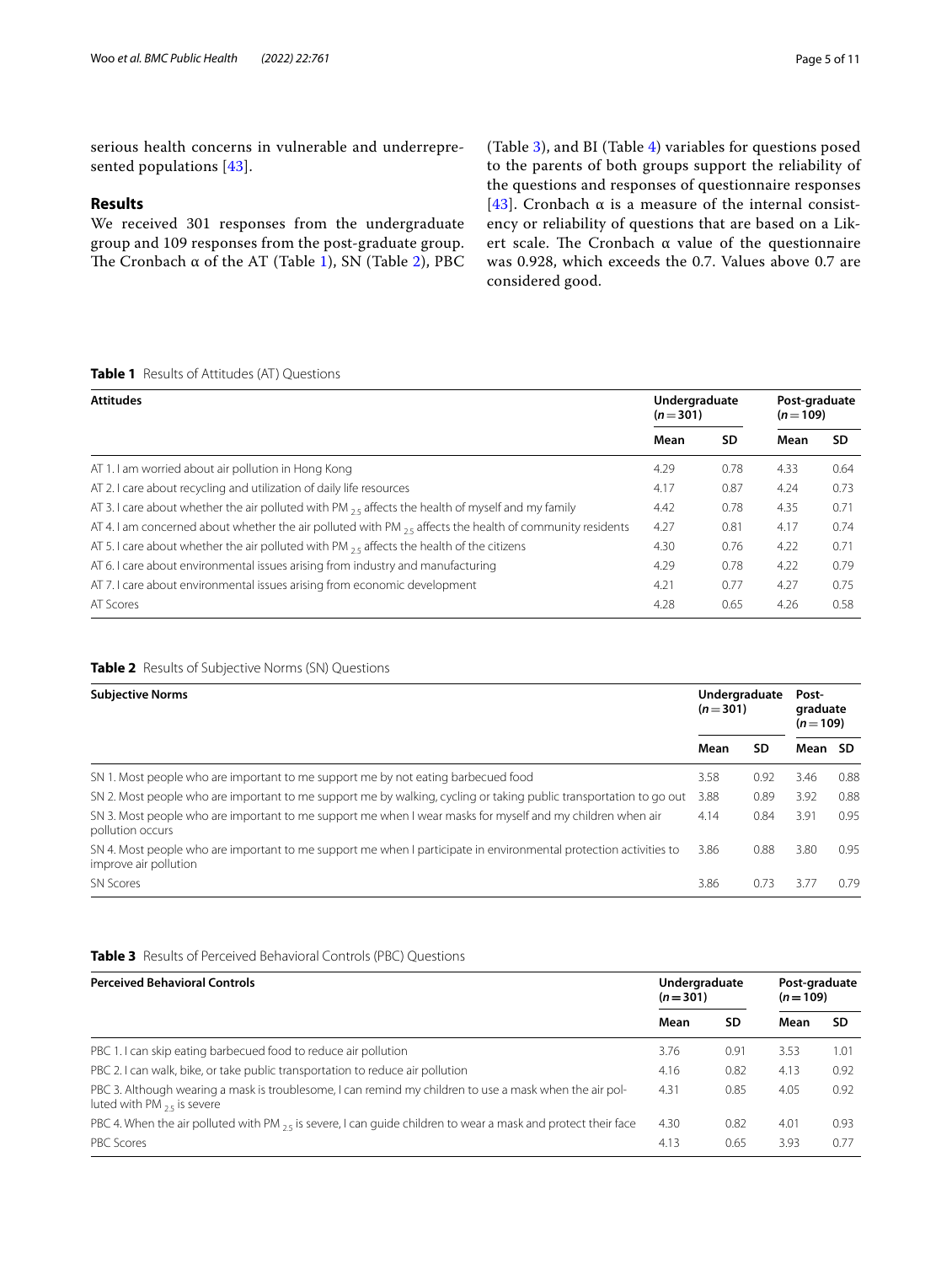serious health concerns in vulnerable and underrepresented populations [\[43](#page-10-35)].

## **Results**

We received 301 responses from the undergraduate group and 109 responses from the post-graduate group. The Cronbach  $\alpha$  of the AT (Table [1](#page-4-0)), SN (Table [2](#page-4-1)), PBC (Table [3\)](#page-4-2), and BI (Table [4\)](#page-5-0) variables for questions posed to the parents of both groups support the reliability of the questions and responses of questionnaire responses [[43](#page-10-35)]. Cronbach  $\alpha$  is a measure of the internal consistency or reliability of questions that are based on a Likert scale. The Cronbach  $\alpha$  value of the questionnaire was 0.928, which exceeds the 0.7. Values above 0.7 are considered good.

## <span id="page-4-0"></span>**Table 1** Results of Attitudes (AT) Questions

| <b>Attitudes</b>                                                                                              |      | Undergraduate<br>$(n=301)$ |      | Post-graduate<br>$(n=109)$ |  |
|---------------------------------------------------------------------------------------------------------------|------|----------------------------|------|----------------------------|--|
|                                                                                                               | Mean | SD                         | Mean | <b>SD</b>                  |  |
| AT 1.1 am worried about air pollution in Hong Kong                                                            | 4.29 | 0.78                       | 4.33 | 0.64                       |  |
| AT 2. I care about recycling and utilization of daily life resources                                          | 4.17 | 0.87                       | 4.24 | 0.73                       |  |
| AT 3. I care about whether the air polluted with PM $_{25}$ affects the health of myself and my family        | 4.42 | 0.78                       | 4.35 | 0.71                       |  |
| AT 4. I am concerned about whether the air polluted with PM $_{25}$ affects the health of community residents | 4.27 | 0.81                       | 4.17 | 0.74                       |  |
| AT 5.1 care about whether the air polluted with PM $_{25}$ affects the health of the citizens                 | 4.30 | 0.76                       | 4.22 | 0.71                       |  |
| AT 6. I care about environmental issues arising from industry and manufacturing                               | 4.29 | 0.78                       | 4.22 | 0.79                       |  |
| AT 7.1 care about environmental issues arising from economic development                                      | 4.21 | 0.77                       | 4.27 | 0.75                       |  |
| AT Scores                                                                                                     | 4.28 | 0.65                       | 4.26 | 0.58                       |  |

## <span id="page-4-1"></span>**Table 2** Results of Subjective Norms (SN) Questions

| <b>Subjective Norms</b>                                                                                                                    |      | Undergraduate<br>$(n=301)$ |         | Post-<br>graduate<br>$(n=109)$ |  |
|--------------------------------------------------------------------------------------------------------------------------------------------|------|----------------------------|---------|--------------------------------|--|
|                                                                                                                                            | Mean | SD                         | Mean SD |                                |  |
| SN 1. Most people who are important to me support me by not eating barbecued food                                                          | 3.58 | 0.92                       | 3.46    | 0.88                           |  |
| SN 2. Most people who are important to me support me by walking, cycling or taking public transportation to go out                         | 3.88 | 0.89                       | 3.92    | 0.88                           |  |
| SN 3. Most people who are important to me support me when I wear masks for myself and my children when air<br>pollution occurs             | 4.14 | 0.84                       | 3.91    | 0.95                           |  |
| SN 4. Most people who are important to me support me when I participate in environmental protection activities to<br>improve air pollution | 3.86 | 0.88                       | 3.80    | 0.95                           |  |
| <b>SN Scores</b>                                                                                                                           | 3.86 | 0.73                       |         | 0.79                           |  |

#### <span id="page-4-2"></span>**Table 3** Results of Perceived Behavioral Controls (PBC) Questions

| <b>Perceived Behavioral Controls</b>                                                                                                      |      | Undergraduate<br>$(n=301)$ | Post-graduate<br>$(n=109)$ |      |
|-------------------------------------------------------------------------------------------------------------------------------------------|------|----------------------------|----------------------------|------|
|                                                                                                                                           | Mean | SD                         | Mean                       | SD   |
| PBC 1. I can skip eating barbecued food to reduce air pollution                                                                           | 3.76 | 0.91                       | 3.53                       | 1.01 |
| PBC 2. I can walk, bike, or take public transportation to reduce air pollution                                                            | 4.16 | 0.82                       | 4.13                       | 0.92 |
| PBC 3. Although wearing a mask is troublesome, I can remind my children to use a mask when the air pol-<br>luted with PM $_2$ s is severe | 4.31 | 0.85                       | 4.05                       | 0.92 |
| PBC 4. When the air polluted with PM $_2$ is severe, I can quide children to wear a mask and protect their face                           | 4.30 | 0.82                       | 4.01                       | 0.93 |
| PBC Scores                                                                                                                                | 4.13 | 0.65                       | 3.93                       | 0.77 |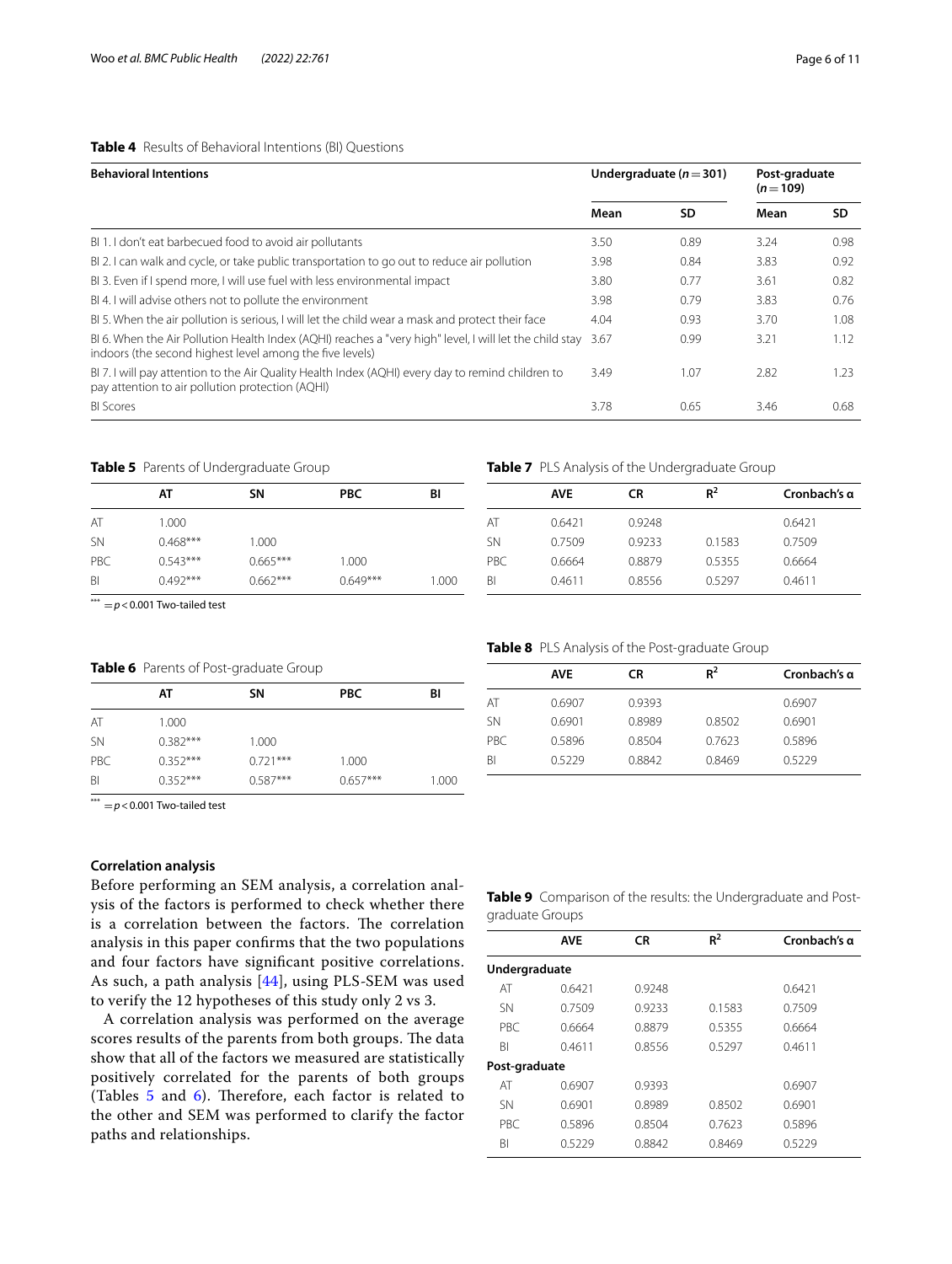## <span id="page-5-0"></span>**Table 4** Results of Behavioral Intentions (BI) Questions

| <b>Behavioral Intentions</b>                                                                                                                                        |      | Undergraduate ( $n = 301$ ) |      | Post-graduate<br>$(n=109)$ |  |
|---------------------------------------------------------------------------------------------------------------------------------------------------------------------|------|-----------------------------|------|----------------------------|--|
|                                                                                                                                                                     | Mean | SD                          | Mean | SD                         |  |
| BI 1. I don't eat barbecued food to avoid air pollutants                                                                                                            | 3.50 | 0.89                        | 3.24 | 0.98                       |  |
| BI 2. I can walk and cycle, or take public transportation to go out to reduce air pollution                                                                         | 3.98 | 0.84                        | 3.83 | 0.92                       |  |
| BI 3. Even if I spend more, I will use fuel with less environmental impact                                                                                          | 3.80 | 0.77                        | 3.61 | 0.82                       |  |
| BI4. I will advise others not to pollute the environment                                                                                                            | 3.98 | 0.79                        | 3.83 | 0.76                       |  |
| BI 5. When the air pollution is serious, I will let the child wear a mask and protect their face                                                                    | 4.04 | 0.93                        | 3.70 | 1.08                       |  |
| BI 6. When the Air Pollution Health Index (AQHI) reaches a "very high" level, I will let the child stay<br>indoors (the second highest level among the five levels) | 3.67 | 0.99                        | 3.21 | 1.12                       |  |
| BI 7. I will pay attention to the Air Quality Health Index (AQHI) every day to remind children to<br>pay attention to air pollution protection (AQHI)               | 3.49 | 1.07                        | 2.82 | 1.23                       |  |
| <b>BI</b> Scores                                                                                                                                                    | 3.78 | 0.65                        | 3.46 | 0.68                       |  |

#### <span id="page-5-1"></span>**Table 5** Parents of Undergraduate Group

|           | АТ         | SΝ         | <b>PBC</b> | BI    |
|-----------|------------|------------|------------|-------|
| AT        | 1.000      |            |            |       |
| <b>SN</b> | $0.468***$ | 1.000      |            |       |
| PBC.      | $0.543***$ | $0.665***$ | 1.000      |       |
| BI        | $0.492***$ | $0.662***$ | $0.649***$ | 1.000 |

 $\overline{f_{\text{max}}}$  = *p* < 0.001 Two-tailed test

## <span id="page-5-2"></span>**Table 6** Parents of Post-graduate Group

|           | AΤ         | SΝ         | <b>PBC</b> | BI    |
|-----------|------------|------------|------------|-------|
| AT        | 1.000      |            |            |       |
| <b>SN</b> | $0.382***$ | 1.000      |            |       |
| PBC       | $0.352***$ | $0.721***$ | 1.000      |       |
| BI        | $0.352***$ | $0.587***$ | $0.657***$ | 1.000 |

## <span id="page-5-3"></span>**Table 7** PLS Analysis of the Undergraduate Group

|           | <b>AVE</b> | CR     | $R^2$  | Cronbach's q |
|-----------|------------|--------|--------|--------------|
| AT        | 0.6421     | 0.9248 |        | 0.6421       |
| <b>SN</b> | 0.7509     | 0.9233 | 0.1583 | 0.7509       |
| PBC.      | 0.6664     | 0.8879 | 0.5355 | 0.6664       |
| ΒI        | 0.4611     | 0.8556 | 05297  | 0.4611       |

#### <span id="page-5-4"></span>**Table 8** PLS Analysis of the Post-graduate Group

| <b>AVE</b> | CR     | $R^2$  | Cronbach's q |
|------------|--------|--------|--------------|
| 0.6907     | 0.9393 |        | 0.6907       |
| 0.6901     | 0.8989 | 0.8502 | 0.6901       |
| 0.5896     | 0.8504 | 0.7623 | 0.5896       |
| 05229      | 0.8842 | 0.8469 | 0.5229       |
|            |        |        |              |

 $\overline{f^{***}}$  = *p* < 0.001 Two-tailed test

## **Correlation analysis**

Before performing an SEM analysis, a correlation analysis of the factors is performed to check whether there is a correlation between the factors. The correlation analysis in this paper confrms that the two populations and four factors have signifcant positive correlations. As such, a path analysis [\[44](#page-10-36)], using PLS-SEM was used to verify the 12 hypotheses of this study only 2 vs 3.

A correlation analysis was performed on the average scores results of the parents from both groups. The data show that all of the factors we measured are statistically positively correlated for the parents of both groups (Tables  $5$  and  $6$ ). Therefore, each factor is related to the other and SEM was performed to clarify the factor paths and relationships.

<span id="page-5-5"></span>

| Table 9 Comparison of the results: the Undergraduate and Post- |  |
|----------------------------------------------------------------|--|
| graduate Groups                                                |  |

|               | <b>AVE</b> | CR     | $R^2$  | Cronbach's q |
|---------------|------------|--------|--------|--------------|
| Undergraduate |            |        |        |              |
| AT            | 0.6421     | 0.9248 |        | 0.6421       |
| <b>SN</b>     | 0.7509     | 0.9233 | 0.1583 | 0.7509       |
| PBC.          | 0.6664     | 0.8879 | 0.5355 | 0.6664       |
| <b>BI</b>     | 0.4611     | 0.8556 | 0.5297 | 0.4611       |
| Post-graduate |            |        |        |              |
| AT            | 0.6907     | 0.9393 |        | 0.6907       |
| <b>SN</b>     | 0.6901     | 0.8989 | 0.8502 | 0.6901       |
| <b>PBC</b>    | 0.5896     | 0.8504 | 0.7623 | 0.5896       |
| ΒI            | 0.5229     | 0.8842 | 0.8469 | 0.5229       |
|               |            |        |        |              |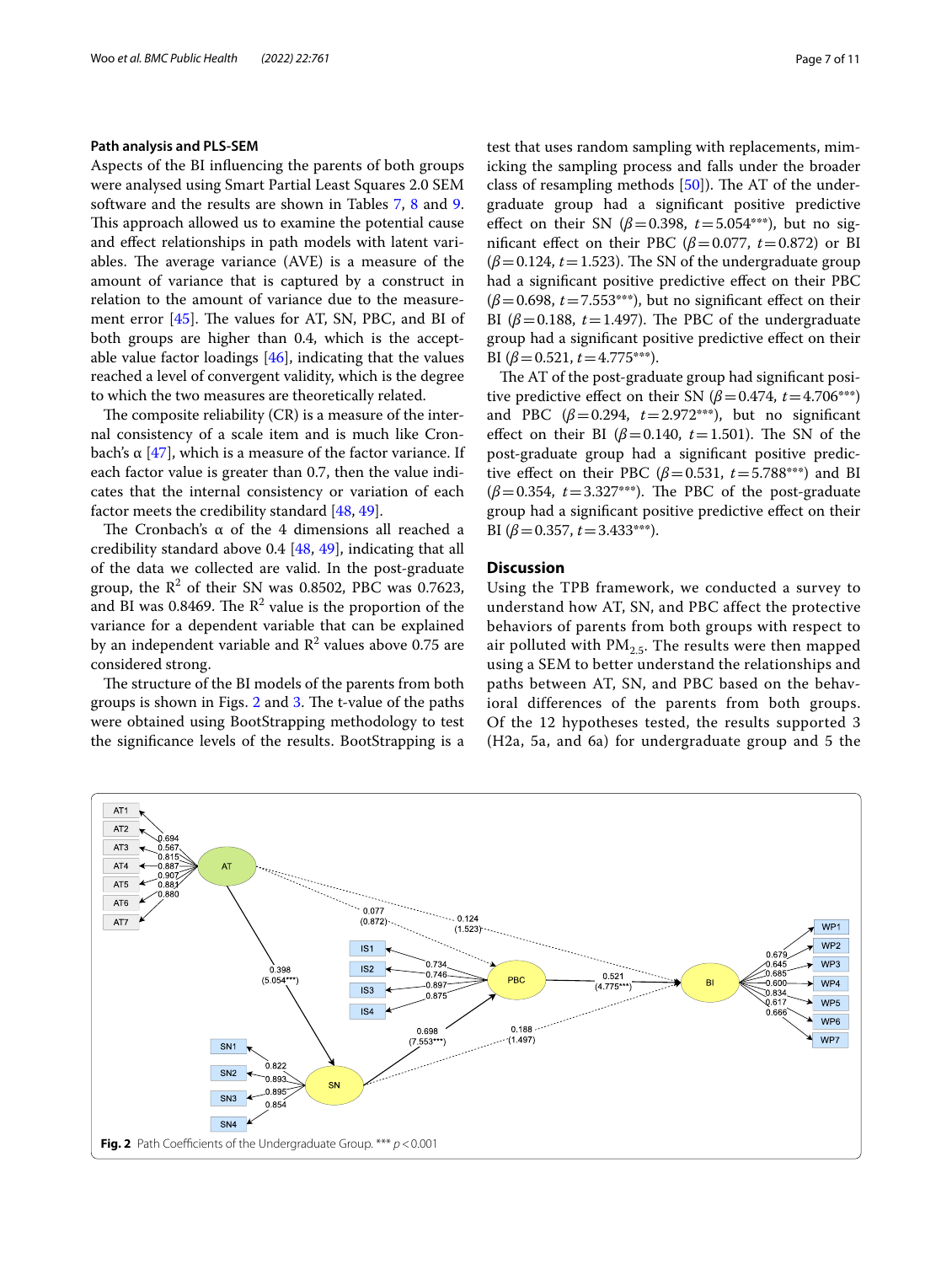#### **Path analysis and PLS-SEM**

Aspects of the BI infuencing the parents of both groups were analysed using Smart Partial Least Squares 2.0 SEM software and the results are shown in Tables [7](#page-5-3), [8](#page-5-4) and [9](#page-5-5). This approach allowed us to examine the potential cause and efect relationships in path models with latent variables. The average variance (AVE) is a measure of the amount of variance that is captured by a construct in relation to the amount of variance due to the measurement error  $[45]$ . The values for AT, SN, PBC, and BI of both groups are higher than 0.4, which is the acceptable value factor loadings  $[46]$  $[46]$ , indicating that the values reached a level of convergent validity, which is the degree to which the two measures are theoretically related.

The composite reliability  $(CR)$  is a measure of the internal consistency of a scale item and is much like Cron-bach's α [[47](#page-10-39)], which is a measure of the factor variance. If each factor value is greater than 0.7, then the value indicates that the internal consistency or variation of each factor meets the credibility standard [\[48](#page-10-40), [49](#page-10-41)].

The Cronbach's  $\alpha$  of the 4 dimensions all reached a credibility standard above 0.4 [[48,](#page-10-40) [49\]](#page-10-41), indicating that all of the data we collected are valid. In the post-graduate group, the  $R^2$  of their SN was 0.8502, PBC was 0.7623, and BI was 0.8469. The  $\mathbb{R}^2$  value is the proportion of the variance for a dependent variable that can be explained by an independent variable and  $\mathbb{R}^2$  values above 0.75 are considered strong.

The structure of the BI models of the parents from both groups is shown in Figs.  $2$  and  $3$ . The t-value of the paths were obtained using BootStrapping methodology to test the signifcance levels of the results. BootStrapping is a

test that uses random sampling with replacements, mimicking the sampling process and falls under the broader class of resampling methods  $[50]$ ). The AT of the undergraduate group had a signifcant positive predictive effect on their SN ( $\beta$ =0.398,  $t$ =5.054\*\*\*), but no significant effect on their PBC ( $\beta$ =0.077, *t*=0.872) or BI  $(\beta = 0.124, t = 1.523)$ . The SN of the undergraduate group had a signifcant positive predictive efect on their PBC  $(\beta=0.698, t=7.553***)$ , but no significant effect on their BI ( $\beta$ =0.188, *t*=1.497). The PBC of the undergraduate group had a signifcant positive predictive efect on their BI  $(\beta = 0.521, t = 4.775***).$ 

The AT of the post-graduate group had significant positive predictive effect on their SN  $(\beta = 0.474, t = 4.706^{***})$ and PBC  $(\beta=0.294, t=2.972^{***})$ , but no significant effect on their BI ( $\beta$ =0.140, *t*=1.501). The SN of the post-graduate group had a signifcant positive predictive effect on their PBC ( $\beta$ =0.531, *t*=5.788\*\*\*) and BI  $(\beta = 0.354, t = 3.327***)$ . The PBC of the post-graduate group had a signifcant positive predictive efect on their BI  $(\beta = 0.357, t = 3.433***).$ 

## **Discussion**

Using the TPB framework, we conducted a survey to understand how AT, SN, and PBC affect the protective behaviors of parents from both groups with respect to air polluted with  $PM_{2.5}$ . The results were then mapped using a SEM to better understand the relationships and paths between AT, SN, and PBC based on the behavioral differences of the parents from both groups. Of the 12 hypotheses tested, the results supported 3 (H2a, 5a, and 6a) for undergraduate group and 5 the

<span id="page-6-0"></span>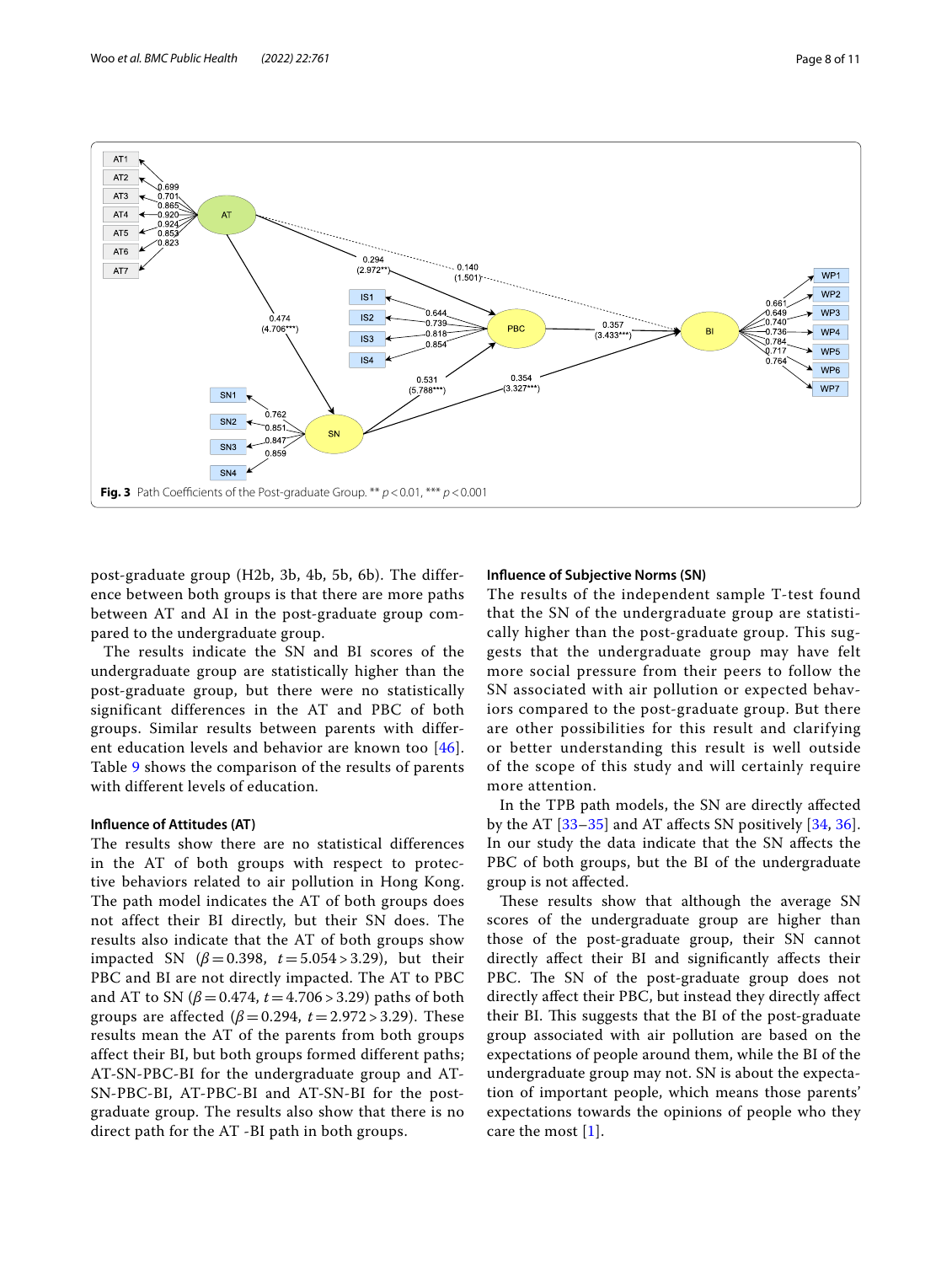



<span id="page-7-0"></span>post-graduate group (H2b, 3b, 4b, 5b, 6b). The difference between both groups is that there are more paths between AT and AI in the post-graduate group compared to the undergraduate group.

The results indicate the SN and BI scores of the undergraduate group are statistically higher than the post-graduate group, but there were no statistically significant differences in the AT and PBC of both groups. Similar results between parents with different education levels and behavior are known too [[46\]](#page-10-38). Table [9](#page-5-5) shows the comparison of the results of parents with different levels of education.

## **Infuence of Attitudes (AT)**

The results show there are no statistical differences in the AT of both groups with respect to protective behaviors related to air pollution in Hong Kong. The path model indicates the AT of both groups does not affect their BI directly, but their SN does. The results also indicate that the AT of both groups show impacted SN ( $β = 0.398$ ,  $t = 5.054 > 3.29$ ), but their PBC and BI are not directly impacted. The AT to PBC and AT to SN  $(\beta = 0.474, t = 4.706 > 3.29)$  paths of both groups are affected ( $β = 0.294$ ,  $t = 2.972 > 3.29$ ). These results mean the AT of the parents from both groups affect their BI, but both groups formed different paths; AT-SN-PBC-BI for the undergraduate group and AT-SN-PBC-BI, AT-PBC-BI and AT-SN-BI for the postgraduate group. The results also show that there is no direct path for the AT -BI path in both groups.

## **Infuence of Subjective Norms (SN)**

The results of the independent sample T-test found that the SN of the undergraduate group are statistically higher than the post-graduate group. This suggests that the undergraduate group may have felt more social pressure from their peers to follow the SN associated with air pollution or expected behaviors compared to the post-graduate group. But there are other possibilities for this result and clarifying or better understanding this result is well outside of the scope of this study and will certainly require more attention.

In the TPB path models, the SN are directly afected by the AT  $[33-35]$  $[33-35]$  $[33-35]$  and AT affects SN positively  $[34, 36]$  $[34, 36]$  $[34, 36]$  $[34, 36]$  $[34, 36]$ . In our study the data indicate that the SN afects the PBC of both groups, but the BI of the undergraduate group is not afected.

These results show that although the average SN scores of the undergraduate group are higher than those of the post-graduate group, their SN cannot directly afect their BI and signifcantly afects their PBC. The SN of the post-graduate group does not directly afect their PBC, but instead they directly afect their BI. This suggests that the BI of the post-graduate group associated with air pollution are based on the expectations of people around them, while the BI of the undergraduate group may not. SN is about the expectation of important people, which means those parents' expectations towards the opinions of people who they care the most [[1\]](#page-9-0).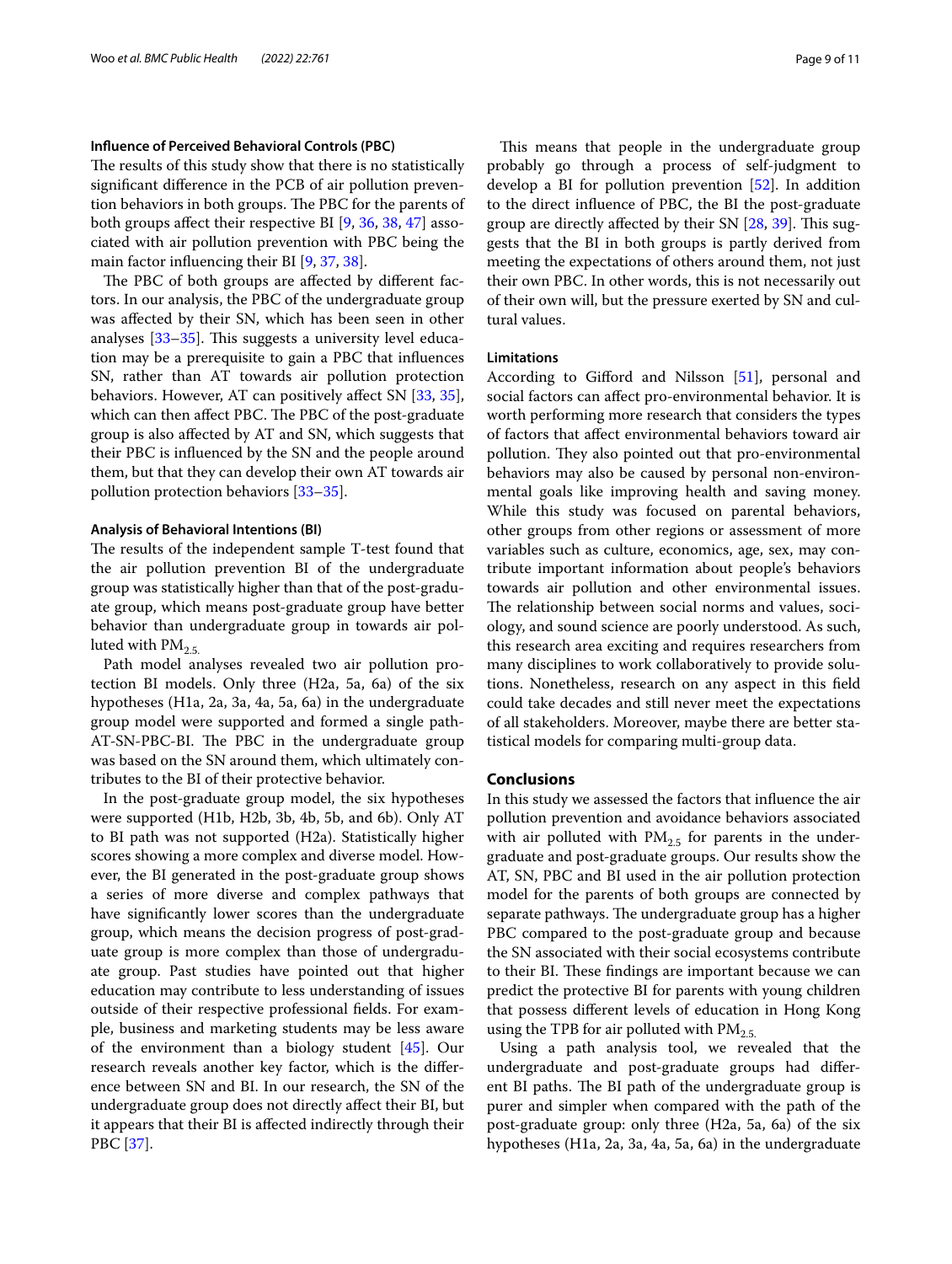#### **Infuence of Perceived Behavioral Controls (PBC)**

The results of this study show that there is no statistically signifcant diference in the PCB of air pollution prevention behaviors in both groups. The PBC for the parents of both groups afect their respective BI [[9,](#page-10-4) [36,](#page-10-27) [38](#page-10-29), [47\]](#page-10-39) associated with air pollution prevention with PBC being the main factor infuencing their BI [[9,](#page-10-4) [37](#page-10-28), [38\]](#page-10-29).

The PBC of both groups are affected by different factors. In our analysis, the PBC of the undergraduate group was afected by their SN, which has been seen in other analyses  $[33-35]$  $[33-35]$  $[33-35]$ . This suggests a university level education may be a prerequisite to gain a PBC that infuences SN, rather than AT towards air pollution protection behaviors. However, AT can positively affect SN [\[33](#page-10-24), [35](#page-10-25)], which can then affect PBC. The PBC of the post-graduate group is also afected by AT and SN, which suggests that their PBC is infuenced by the SN and the people around them, but that they can develop their own AT towards air pollution protection behaviors [[33](#page-10-24)[–35](#page-10-25)].

## **Analysis of Behavioral Intentions (BI)**

The results of the independent sample T-test found that the air pollution prevention BI of the undergraduate group was statistically higher than that of the post-graduate group, which means post-graduate group have better behavior than undergraduate group in towards air polluted with  $PM_{2.5}$ 

Path model analyses revealed two air pollution protection BI models. Only three (H2a, 5a, 6a) of the six hypotheses (H1a, 2a, 3a, 4a, 5a, 6a) in the undergraduate group model were supported and formed a single path-AT-SN-PBC-BI. The PBC in the undergraduate group was based on the SN around them, which ultimately contributes to the BI of their protective behavior.

In the post-graduate group model, the six hypotheses were supported (H1b, H2b, 3b, 4b, 5b, and 6b). Only AT to BI path was not supported (H2a). Statistically higher scores showing a more complex and diverse model. However, the BI generated in the post-graduate group shows a series of more diverse and complex pathways that have signifcantly lower scores than the undergraduate group, which means the decision progress of post-graduate group is more complex than those of undergraduate group. Past studies have pointed out that higher education may contribute to less understanding of issues outside of their respective professional felds. For example, business and marketing students may be less aware of the environment than a biology student [\[45](#page-10-37)]. Our research reveals another key factor, which is the diference between SN and BI. In our research, the SN of the undergraduate group does not directly afect their BI, but it appears that their BI is afected indirectly through their PBC [[37](#page-10-28)].

This means that people in the undergraduate group probably go through a process of self-judgment to develop a BI for pollution prevention [\[52\]](#page-10-43). In addition to the direct infuence of PBC, the BI the post-graduate group are directly affected by their SN [\[28](#page-10-30), [39\]](#page-10-31). This suggests that the BI in both groups is partly derived from meeting the expectations of others around them, not just their own PBC. In other words, this is not necessarily out of their own will, but the pressure exerted by SN and cultural values.

## **Limitations**

According to Giford and Nilsson [\[51\]](#page-10-44), personal and social factors can afect pro-environmental behavior. It is worth performing more research that considers the types of factors that afect environmental behaviors toward air pollution. They also pointed out that pro-environmental behaviors may also be caused by personal non-environmental goals like improving health and saving money. While this study was focused on parental behaviors, other groups from other regions or assessment of more variables such as culture, economics, age, sex, may contribute important information about people's behaviors towards air pollution and other environmental issues. The relationship between social norms and values, sociology, and sound science are poorly understood. As such, this research area exciting and requires researchers from many disciplines to work collaboratively to provide solutions. Nonetheless, research on any aspect in this feld could take decades and still never meet the expectations of all stakeholders. Moreover, maybe there are better statistical models for comparing multi-group data.

## **Conclusions**

In this study we assessed the factors that infuence the air pollution prevention and avoidance behaviors associated with air polluted with  $PM_{2.5}$  for parents in the undergraduate and post-graduate groups. Our results show the AT, SN, PBC and BI used in the air pollution protection model for the parents of both groups are connected by separate pathways. The undergraduate group has a higher PBC compared to the post-graduate group and because the SN associated with their social ecosystems contribute to their BI. These findings are important because we can predict the protective BI for parents with young children that possess diferent levels of education in Hong Kong using the TPB for air polluted with  $PM_{2.5}$ .

Using a path analysis tool, we revealed that the undergraduate and post-graduate groups had diferent BI paths. The BI path of the undergraduate group is purer and simpler when compared with the path of the post-graduate group: only three (H2a, 5a, 6a) of the six hypotheses (H1a, 2a, 3a, 4a, 5a, 6a) in the undergraduate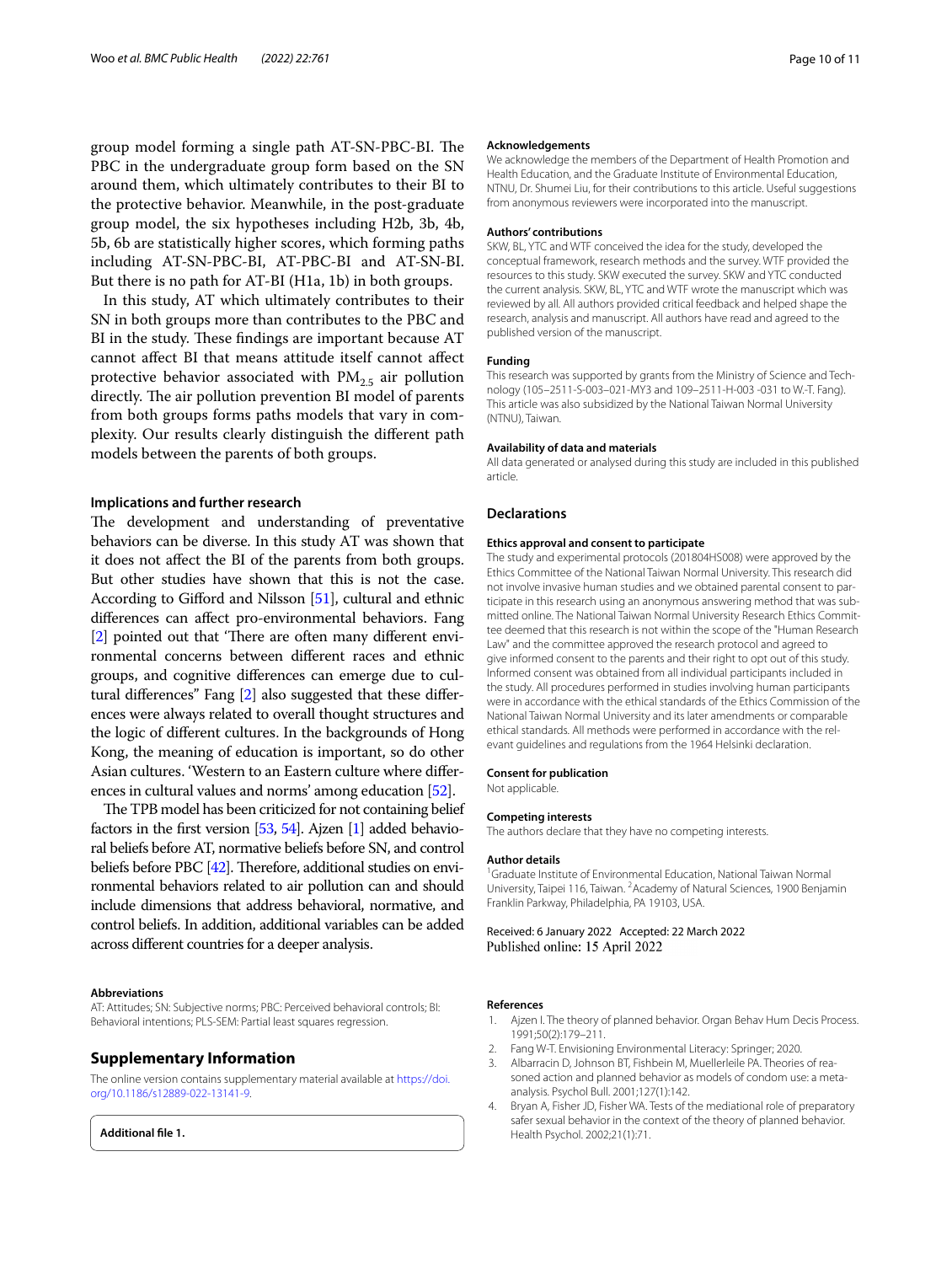group model forming a single path AT-SN-PBC-BI. The PBC in the undergraduate group form based on the SN around them, which ultimately contributes to their BI to the protective behavior. Meanwhile, in the post-graduate group model, the six hypotheses including H2b, 3b, 4b, 5b, 6b are statistically higher scores, which forming paths including AT-SN-PBC-BI, AT-PBC-BI and AT-SN-BI. But there is no path for AT-BI (H1a, 1b) in both groups.

In this study, AT which ultimately contributes to their SN in both groups more than contributes to the PBC and BI in the study. These findings are important because AT cannot afect BI that means attitude itself cannot afect protective behavior associated with  $PM_{2.5}$  air pollution directly. The air pollution prevention BI model of parents from both groups forms paths models that vary in complexity. Our results clearly distinguish the diferent path models between the parents of both groups.

## **Implications and further research**

The development and understanding of preventative behaviors can be diverse. In this study AT was shown that it does not afect the BI of the parents from both groups. But other studies have shown that this is not the case. According to Giford and Nilsson [\[51\]](#page-10-44), cultural and ethnic diferences can afect pro-environmental behaviors. Fang [[2\]](#page-9-1) pointed out that 'There are often many different environmental concerns between diferent races and ethnic groups, and cognitive diferences can emerge due to cultural diferences" Fang [[2\]](#page-9-1) also suggested that these diferences were always related to overall thought structures and the logic of diferent cultures. In the backgrounds of Hong Kong, the meaning of education is important, so do other Asian cultures. 'Western to an Eastern culture where diferences in cultural values and norms' among education [\[52\]](#page-10-43).

The TPB model has been criticized for not containing belief factors in the first version  $[53, 54]$  $[53, 54]$  $[53, 54]$  $[53, 54]$ . Ajzen  $[1]$  $[1]$  $[1]$  added behavioral beliefs before AT, normative beliefs before SN, and control beliefs before PBC  $[42]$  $[42]$ . Therefore, additional studies on environmental behaviors related to air pollution can and should include dimensions that address behavioral, normative, and control beliefs. In addition, additional variables can be added across diferent countries for a deeper analysis.

#### **Abbreviations**

AT: Attitudes; SN: Subjective norms; PBC: Perceived behavioral controls; BI: Behavioral intentions; PLS-SEM: Partial least squares regression.

#### **Supplementary Information**

The online version contains supplementary material available at [https://doi.](https://doi.org/10.1186/s12889-022-13141-9) [org/10.1186/s12889-022-13141-9](https://doi.org/10.1186/s12889-022-13141-9).

**Additional fle 1.**

#### **Acknowledgements**

We acknowledge the members of the Department of Health Promotion and Health Education, and the Graduate Institute of Environmental Education, NTNU, Dr. Shumei Liu, for their contributions to this article. Useful suggestions from anonymous reviewers were incorporated into the manuscript.

#### **Authors' contributions**

SKW, BL, YTC and WTF conceived the idea for the study, developed the conceptual framework, research methods and the survey. WTF provided the resources to this study. SKW executed the survey. SKW and YTC conducted the current analysis. SKW, BL, YTC and WTF wrote the manuscript which was reviewed by all. All authors provided critical feedback and helped shape the research, analysis and manuscript. All authors have read and agreed to the published version of the manuscript.

#### **Funding**

This research was supported by grants from the Ministry of Science and Technology (105–2511-S-003–021-MY3 and 109–2511-H-003 -031 to W.-T. Fang). This article was also subsidized by the National Taiwan Normal University (NTNU), Taiwan.

#### **Availability of data and materials**

All data generated or analysed during this study are included in this published article.

#### **Declarations**

#### **Ethics approval and consent to participate**

The study and experimental protocols (201804HS008) were approved by the Ethics Committee of the National Taiwan Normal University. This research did not involve invasive human studies and we obtained parental consent to par‑ ticipate in this research using an anonymous answering method that was submitted online. The National Taiwan Normal University Research Ethics Committee deemed that this research is not within the scope of the "Human Research Law" and the committee approved the research protocol and agreed to give informed consent to the parents and their right to opt out of this study. Informed consent was obtained from all individual participants included in the study. All procedures performed in studies involving human participants were in accordance with the ethical standards of the Ethics Commission of the National Taiwan Normal University and its later amendments or comparable ethical standards. All methods were performed in accordance with the relevant guidelines and regulations from the 1964 Helsinki declaration.

#### **Consent for publication**

Not applicable.

#### **Competing interests**

The authors declare that they have no competing interests.

#### **Author details**

<sup>1</sup> Graduate Institute of Environmental Education, National Taiwan Normal University, Taipei 116, Taiwan. <sup>2</sup> Academy of Natural Sciences, 1900 Benjamin Franklin Parkway, Philadelphia, PA 19103, USA.

Received: 6 January 2022 Accepted: 22 March 2022 Published online: 15 April 2022

#### **References**

- <span id="page-9-0"></span>1. Ajzen I. The theory of planned behavior. Organ Behav Hum Decis Process. 1991;50(2):179–211.
- <span id="page-9-1"></span>2. Fang W-T. Envisioning Environmental Literacy: Springer; 2020.
- <span id="page-9-2"></span>3. Albarracin D, Johnson BT, Fishbein M, Muellerleile PA. Theories of reasoned action and planned behavior as models of condom use: a metaanalysis. Psychol Bull. 2001;127(1):142.
- <span id="page-9-3"></span>4. Bryan A, Fisher JD, Fisher WA. Tests of the mediational role of preparatory safer sexual behavior in the context of the theory of planned behavior. Health Psychol. 2002;21(1):71.